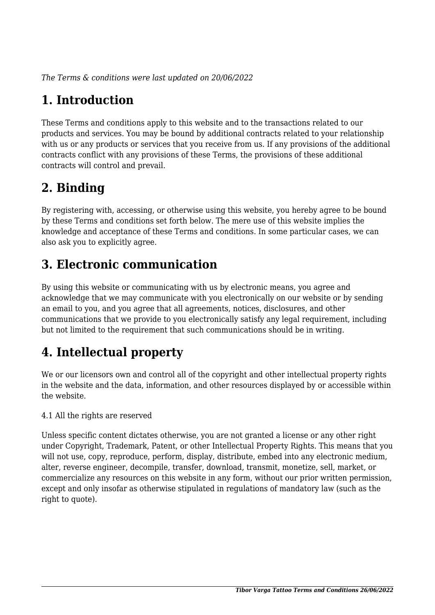*The Terms & conditions were last updated on 20/06/2022*

# **1. Introduction**

These Terms and conditions apply to this website and to the transactions related to our products and services. You may be bound by additional contracts related to your relationship with us or any products or services that you receive from us. If any provisions of the additional contracts conflict with any provisions of these Terms, the provisions of these additional contracts will control and prevail.

# **2. Binding**

By registering with, accessing, or otherwise using this website, you hereby agree to be bound by these Terms and conditions set forth below. The mere use of this website implies the knowledge and acceptance of these Terms and conditions. In some particular cases, we can also ask you to explicitly agree.

# **3. Electronic communication**

By using this website or communicating with us by electronic means, you agree and acknowledge that we may communicate with you electronically on our website or by sending an email to you, and you agree that all agreements, notices, disclosures, and other communications that we provide to you electronically satisfy any legal requirement, including but not limited to the requirement that such communications should be in writing.

# **4. Intellectual property**

We or our licensors own and control all of the copyright and other intellectual property rights in the website and the data, information, and other resources displayed by or accessible within the website.

4.1 All the rights are reserved

Unless specific content dictates otherwise, you are not granted a license or any other right under Copyright, Trademark, Patent, or other Intellectual Property Rights. This means that you will not use, copy, reproduce, perform, display, distribute, embed into any electronic medium, alter, reverse engineer, decompile, transfer, download, transmit, monetize, sell, market, or commercialize any resources on this website in any form, without our prior written permission, except and only insofar as otherwise stipulated in regulations of mandatory law (such as the right to quote).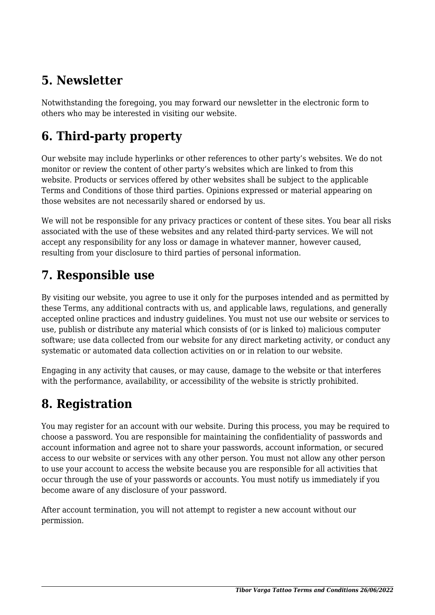## **5. Newsletter**

Notwithstanding the foregoing, you may forward our newsletter in the electronic form to others who may be interested in visiting our website.

# **6. Third-party property**

Our website may include hyperlinks or other references to other party's websites. We do not monitor or review the content of other party's websites which are linked to from this website. Products or services offered by other websites shall be subject to the applicable Terms and Conditions of those third parties. Opinions expressed or material appearing on those websites are not necessarily shared or endorsed by us.

We will not be responsible for any privacy practices or content of these sites. You bear all risks associated with the use of these websites and any related third-party services. We will not accept any responsibility for any loss or damage in whatever manner, however caused, resulting from your disclosure to third parties of personal information.

#### **7. Responsible use**

By visiting our website, you agree to use it only for the purposes intended and as permitted by these Terms, any additional contracts with us, and applicable laws, regulations, and generally accepted online practices and industry guidelines. You must not use our website or services to use, publish or distribute any material which consists of (or is linked to) malicious computer software; use data collected from our website for any direct marketing activity, or conduct any systematic or automated data collection activities on or in relation to our website.

Engaging in any activity that causes, or may cause, damage to the website or that interferes with the performance, availability, or accessibility of the website is strictly prohibited.

#### **8. Registration**

You may register for an account with our website. During this process, you may be required to choose a password. You are responsible for maintaining the confidentiality of passwords and account information and agree not to share your passwords, account information, or secured access to our website or services with any other person. You must not allow any other person to use your account to access the website because you are responsible for all activities that occur through the use of your passwords or accounts. You must notify us immediately if you become aware of any disclosure of your password.

After account termination, you will not attempt to register a new account without our permission.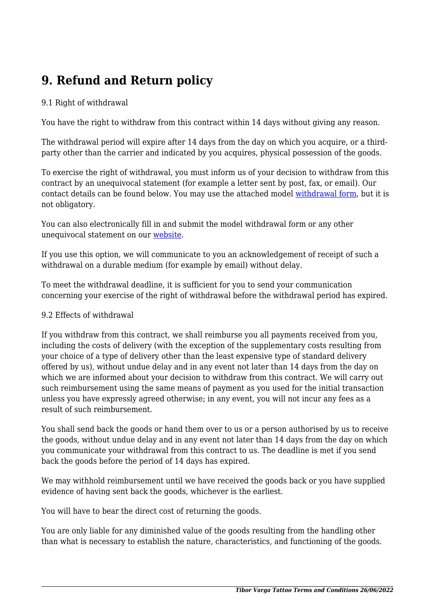# **9. Refund and Return policy**

#### 9.1 Right of withdrawal

You have the right to withdraw from this contract within 14 days without giving any reason.

The withdrawal period will expire after 14 days from the day on which you acquire, or a thirdparty other than the carrier and indicated by you acquires, physical possession of the goods.

To exercise the right of withdrawal, you must inform us of your decision to withdraw from this contract by an unequivocal statement (for example a letter sent by post, fax, or email). Our contact details can be found below. You may use the attached model [withdrawal form](https://www.tiborvargatattoo.com/wp-content/uploads/complianz/withdrawal-forms/withdrawal-form-en.pdf), but it is not obligatory.

You can also electronically fill in and submit the model withdrawal form or any other unequivocal statement on our website.

If you use this option, we will communicate to you an acknowledgement of receipt of such a withdrawal on a durable medium (for example by email) without delay.

To meet the withdrawal deadline, it is sufficient for you to send your communication concerning your exercise of the right of withdrawal before the withdrawal period has expired.

#### 9.2 Effects of withdrawal

If you withdraw from this contract, we shall reimburse you all payments received from you, including the costs of delivery (with the exception of the supplementary costs resulting from your choice of a type of delivery other than the least expensive type of standard delivery offered by us), without undue delay and in any event not later than 14 days from the day on which we are informed about your decision to withdraw from this contract. We will carry out such reimbursement using the same means of payment as you used for the initial transaction unless you have expressly agreed otherwise; in any event, you will not incur any fees as a result of such reimbursement.

You shall send back the goods or hand them over to us or a person authorised by us to receive the goods, without undue delay and in any event not later than 14 days from the day on which you communicate your withdrawal from this contract to us. The deadline is met if you send back the goods before the period of 14 days has expired.

We may withhold reimbursement until we have received the goods back or you have supplied evidence of having sent back the goods, whichever is the earliest.

You will have to bear the direct cost of returning the goods.

You are only liable for any diminished value of the goods resulting from the handling other than what is necessary to establish the nature, characteristics, and functioning of the goods.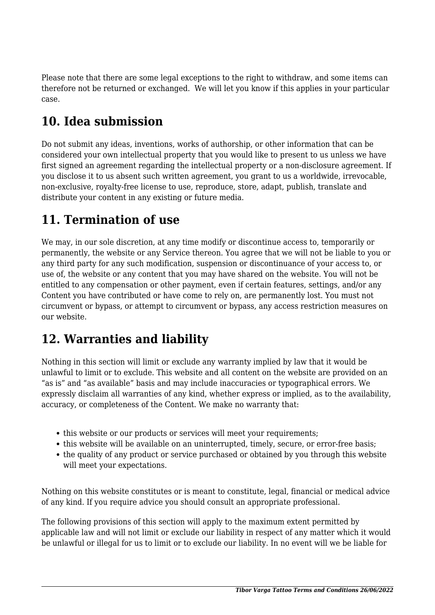Please note that there are some legal exceptions to the right to withdraw, and some items can therefore not be returned or exchanged. We will let you know if this applies in your particular case.

# **10. Idea submission**

Do not submit any ideas, inventions, works of authorship, or other information that can be considered your own intellectual property that you would like to present to us unless we have first signed an agreement regarding the intellectual property or a non-disclosure agreement. If you disclose it to us absent such written agreement, you grant to us a worldwide, irrevocable, non-exclusive, royalty-free license to use, reproduce, store, adapt, publish, translate and distribute your content in any existing or future media.

#### **11. Termination of use**

We may, in our sole discretion, at any time modify or discontinue access to, temporarily or permanently, the website or any Service thereon. You agree that we will not be liable to you or any third party for any such modification, suspension or discontinuance of your access to, or use of, the website or any content that you may have shared on the website. You will not be entitled to any compensation or other payment, even if certain features, settings, and/or any Content you have contributed or have come to rely on, are permanently lost. You must not circumvent or bypass, or attempt to circumvent or bypass, any access restriction measures on our website.

# **12. Warranties and liability**

Nothing in this section will limit or exclude any warranty implied by law that it would be unlawful to limit or to exclude. This website and all content on the website are provided on an "as is" and "as available" basis and may include inaccuracies or typographical errors. We expressly disclaim all warranties of any kind, whether express or implied, as to the availability, accuracy, or completeness of the Content. We make no warranty that:

- this website or our products or services will meet your requirements;
- this website will be available on an uninterrupted, timely, secure, or error-free basis;
- the quality of any product or service purchased or obtained by you through this website will meet your expectations.

Nothing on this website constitutes or is meant to constitute, legal, financial or medical advice of any kind. If you require advice you should consult an appropriate professional.

The following provisions of this section will apply to the maximum extent permitted by applicable law and will not limit or exclude our liability in respect of any matter which it would be unlawful or illegal for us to limit or to exclude our liability. In no event will we be liable for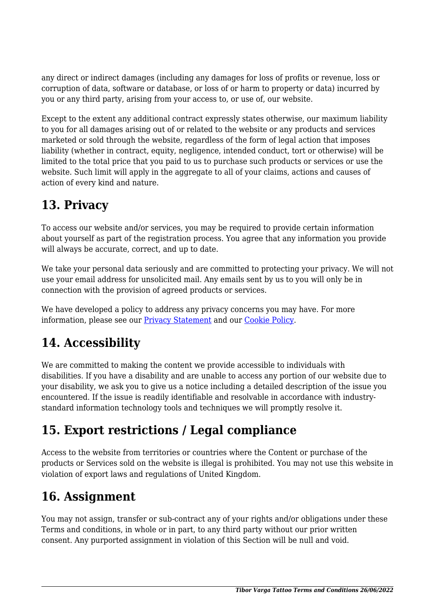any direct or indirect damages (including any damages for loss of profits or revenue, loss or corruption of data, software or database, or loss of or harm to property or data) incurred by you or any third party, arising from your access to, or use of, our website.

Except to the extent any additional contract expressly states otherwise, our maximum liability to you for all damages arising out of or related to the website or any products and services marketed or sold through the website, regardless of the form of legal action that imposes liability (whether in contract, equity, negligence, intended conduct, tort or otherwise) will be limited to the total price that you paid to us to purchase such products or services or use the website. Such limit will apply in the aggregate to all of your claims, actions and causes of action of every kind and nature.

# **13. Privacy**

To access our website and/or services, you may be required to provide certain information about yourself as part of the registration process. You agree that any information you provide will always be accurate, correct, and up to date.

We take your personal data seriously and are committed to protecting your privacy. We will not use your email address for unsolicited mail. Any emails sent by us to you will only be in connection with the provision of agreed products or services.

We have developed a policy to address any privacy concerns you may have. For more information, please see our Privacy Statement and our [Cookie Policy](https://www.tiborvargatattoo.com/cookie-policy-uk/).

# **14. Accessibility**

We are committed to making the content we provide accessible to individuals with disabilities. If you have a disability and are unable to access any portion of our website due to your disability, we ask you to give us a notice including a detailed description of the issue you encountered. If the issue is readily identifiable and resolvable in accordance with industrystandard information technology tools and techniques we will promptly resolve it.

# **15. Export restrictions / Legal compliance**

Access to the website from territories or countries where the Content or purchase of the products or Services sold on the website is illegal is prohibited. You may not use this website in violation of export laws and regulations of United Kingdom.

# **16. Assignment**

You may not assign, transfer or sub-contract any of your rights and/or obligations under these Terms and conditions, in whole or in part, to any third party without our prior written consent. Any purported assignment in violation of this Section will be null and void.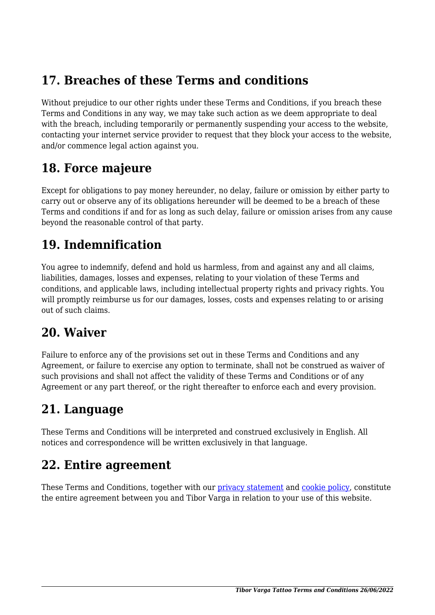#### **17. Breaches of these Terms and conditions**

Without prejudice to our other rights under these Terms and Conditions, if you breach these Terms and Conditions in any way, we may take such action as we deem appropriate to deal with the breach, including temporarily or permanently suspending your access to the website, contacting your internet service provider to request that they block your access to the website, and/or commence legal action against you.

#### **18. Force majeure**

Except for obligations to pay money hereunder, no delay, failure or omission by either party to carry out or observe any of its obligations hereunder will be deemed to be a breach of these Terms and conditions if and for as long as such delay, failure or omission arises from any cause beyond the reasonable control of that party.

#### **19. Indemnification**

You agree to indemnify, defend and hold us harmless, from and against any and all claims, liabilities, damages, losses and expenses, relating to your violation of these Terms and conditions, and applicable laws, including intellectual property rights and privacy rights. You will promptly reimburse us for our damages, losses, costs and expenses relating to or arising out of such claims.

#### **20. Waiver**

Failure to enforce any of the provisions set out in these Terms and Conditions and any Agreement, or failure to exercise any option to terminate, shall not be construed as waiver of such provisions and shall not affect the validity of these Terms and Conditions or of any Agreement or any part thereof, or the right thereafter to enforce each and every provision.

#### **21. Language**

These Terms and Conditions will be interpreted and construed exclusively in English. All notices and correspondence will be written exclusively in that language.

#### **22. Entire agreement**

These Terms and Conditions, together with our privacy statement and [cookie policy,](https://www.tiborvargatattoo.com/cookie-policy-uk/) constitute the entire agreement between you and Tibor Varga in relation to your use of this website.